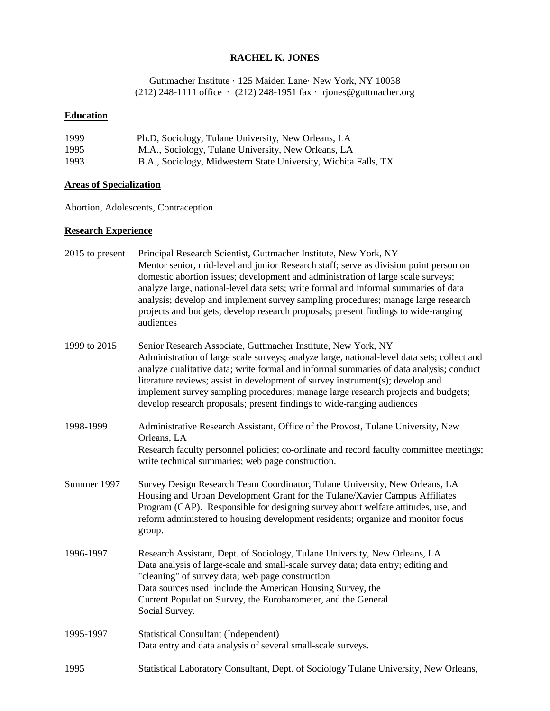#### **RACHEL K. JONES**

Guttmacher Institute · 125 Maiden Lane· New York, NY 10038 (212) 248-1111 office · (212) 248-1951 fax · rjones@guttmacher.org

# **Education**

| 1999 | Ph.D, Sociology, Tulane University, New Orleans, LA             |
|------|-----------------------------------------------------------------|
| 1995 | M.A., Sociology, Tulane University, New Orleans, LA             |
| 1993 | B.A., Sociology, Midwestern State University, Wichita Falls, TX |

# **Areas of Specialization**

Abortion, Adolescents, Contraception

#### **Research Experience**

| 2015 to present | Principal Research Scientist, Guttmacher Institute, New York, NY<br>Mentor senior, mid-level and junior Research staff; serve as division point person on<br>domestic abortion issues; development and administration of large scale surveys;<br>analyze large, national-level data sets; write formal and informal summaries of data<br>analysis; develop and implement survey sampling procedures; manage large research<br>projects and budgets; develop research proposals; present findings to wide-ranging<br>audiences |
|-----------------|-------------------------------------------------------------------------------------------------------------------------------------------------------------------------------------------------------------------------------------------------------------------------------------------------------------------------------------------------------------------------------------------------------------------------------------------------------------------------------------------------------------------------------|
| 1999 to 2015    | Senior Research Associate, Guttmacher Institute, New York, NY<br>Administration of large scale surveys; analyze large, national-level data sets; collect and<br>analyze qualitative data; write formal and informal summaries of data analysis; conduct<br>literature reviews; assist in development of survey instrument(s); develop and<br>implement survey sampling procedures; manage large research projects and budgets;<br>develop research proposals; present findings to wide-ranging audiences                      |
| 1998-1999       | Administrative Research Assistant, Office of the Provost, Tulane University, New<br>Orleans, LA<br>Research faculty personnel policies; co-ordinate and record faculty committee meetings;<br>write technical summaries; web page construction.                                                                                                                                                                                                                                                                               |
| Summer 1997     | Survey Design Research Team Coordinator, Tulane University, New Orleans, LA<br>Housing and Urban Development Grant for the Tulane/Xavier Campus Affiliates<br>Program (CAP). Responsible for designing survey about welfare attitudes, use, and<br>reform administered to housing development residents; organize and monitor focus<br>group.                                                                                                                                                                                 |
| 1996-1997       | Research Assistant, Dept. of Sociology, Tulane University, New Orleans, LA<br>Data analysis of large-scale and small-scale survey data; data entry; editing and<br>"cleaning" of survey data; web page construction<br>Data sources used include the American Housing Survey, the<br>Current Population Survey, the Eurobarometer, and the General<br>Social Survey.                                                                                                                                                          |
| 1995-1997       | <b>Statistical Consultant (Independent)</b><br>Data entry and data analysis of several small-scale surveys.                                                                                                                                                                                                                                                                                                                                                                                                                   |
| 1995            | Statistical Laboratory Consultant, Dept. of Sociology Tulane University, New Orleans,                                                                                                                                                                                                                                                                                                                                                                                                                                         |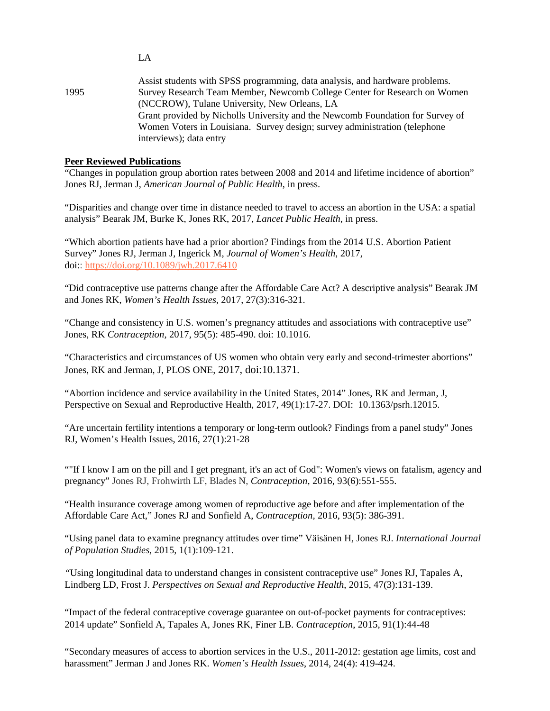|      | Assist students with SPSS programming, data analysis, and hardware problems.   |
|------|--------------------------------------------------------------------------------|
| 1995 | Survey Research Team Member, Newcomb College Center for Research on Women      |
|      | (NCCROW), Tulane University, New Orleans, LA                                   |
|      | Grant provided by Nicholls University and the Newcomb Foundation for Survey of |
|      | Women Voters in Louisiana. Survey design; survey administration (telephone     |
|      | interviews); data entry                                                        |

#### **Peer Reviewed Publications**

"Changes in population group abortion rates between 2008 and 2014 and lifetime incidence of abortion" Jones RJ, Jerman J, *American Journal of Public Health*, in press.

"Disparities and change over time in distance needed to travel to access an abortion in the USA: a spatial analysis" Bearak JM, Burke K, Jones RK, 2017, *Lancet Public Health*, in press.

"Which abortion patients have had a prior abortion? Findings from the 2014 U.S. Abortion Patient Survey" Jones RJ, Jerman J, Ingerick M, *Journal of Women's Health*, 2017, doi:: <https://doi.org/10.1089/jwh.2017.6410>

"Did contraceptive use patterns change after the Affordable Care Act? A descriptive analysis" Bearak JM and Jones RK, *Women's Health Issues*, 2017, 27(3):316-321.

"Change and consistency in U.S. women's pregnancy attitudes and associations with contraceptive use" Jones, RK *Contraception,* 2017, 95(5): 485-490. doi: 10.1016.

"Characteristics and circumstances of US women who obtain very early and second-trimester abortions" Jones, RK and Jerman, J, PLOS ONE, 2017, doi:10.1371.

"Abortion incidence and service availability in the United States, 2014" Jones, RK and Jerman, J, Perspective on Sexual and Reproductive Health, 2017, 49(1):17-27. DOI: 10.1363/psrh.12015.

"Are uncertain fertility intentions a temporary or long-term outlook? Findings from a panel study" Jones RJ, Women's Health Issues, 2016, 27(1):21-28

""If I know I am on the pill and I get pregnant, it's an act of God": Women's views on fatalism, agency and pregnancy" Jones RJ, Frohwirth LF, Blades N, *Contraception,* 2016, 93(6):551-555.

"Health insurance coverage among women of reproductive age before and after implementation of the Affordable Care Act," Jones RJ and Sonfield A, *Contraception,* 2016, 93(5): 386-391.

"Using panel data to examine pregnancy attitudes over time" Väisänen H, Jones RJ. *International Journal of Population Studies*, 2015, 1(1):109-121.

*"*Using longitudinal data to understand changes in consistent contraceptive use" Jones RJ, Tapales A, Lindberg LD, Frost J. *Perspectives on Sexual and Reproductive Health*, 2015, 47(3):131-139.

"Impact of the federal contraceptive coverage guarantee on out-of-pocket payments for contraceptives: 2014 update" Sonfield A, Tapales A, Jones RK, Finer LB. *Contraception*, 2015, 91(1):44-48

"Secondary measures of access to abortion services in the U.S., 2011-2012: gestation age limits, cost and harassment" Jerman J and Jones RK. *Women's Health Issues*, 2014, 24(4): 419-424.

LA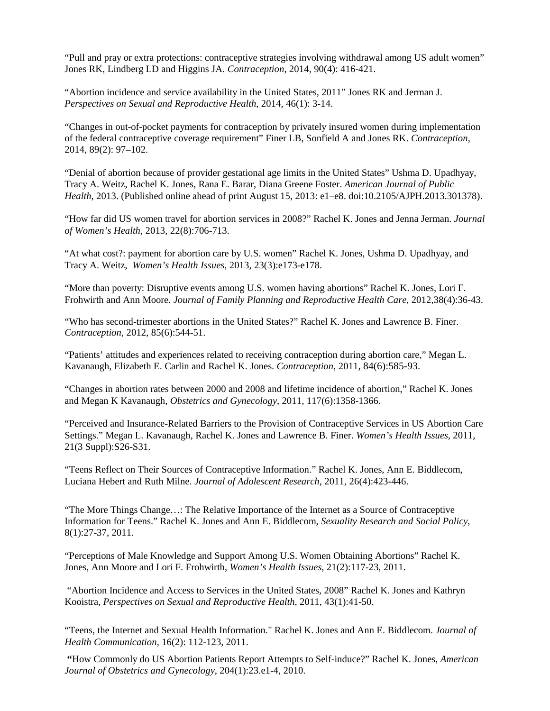"Pull and pray or extra protections: contraceptive strategies involving withdrawal among US adult women" Jones RK, Lindberg LD and Higgins JA. *Contraception*, 2014, 90(4): 416-421.

"Abortion incidence and service availability in the United States, 2011" Jones RK and Jerman J. *Perspectives on Sexual and Reproductive Health*, 2014, 46(1): 3-14.

"Changes in out-of-pocket payments for contraception by privately insured women during implementation of the federal contraceptive coverage requirement" Finer LB, Sonfield A and Jones RK. *Contraception*, 2014, 89(2): 97–102.

"Denial of abortion because of provider gestational age limits in the United States" Ushma D. Upadhyay, Tracy A. Weitz, Rachel K. Jones, Rana E. Barar, Diana Greene Foster. *American Journal of Public Health*, 2013. (Published online ahead of print August 15, 2013: e1–e8. doi:10.2105/AJPH.2013.301378).

"How far did US women travel for abortion services in 2008?" Rachel K. Jones and Jenna Jerman. *Journal of Women's Health*, 2013, 22(8):706-713.

"At what cost?: payment for abortion care by U.S. women" Rachel K. Jones, Ushma D. Upadhyay, and Tracy A. Weitz, *Women's Health Issues*, 2013, 23(3):e173-e178.

"More than poverty: Disruptive events among U.S. women having abortions" Rachel K. Jones, Lori F. Frohwirth and Ann Moore. *Journal of Family Planning and Reproductive Health Care*, 2012,38(4):36-43.

"Who has second-trimester abortions in the United States?" Rachel K. Jones and Lawrence B. Finer. *Contraception*, 2012, 85(6):544-51.

"Patients' attitudes and experiences related to receiving contraception during abortion care," Megan L. Kavanaugh, Elizabeth E. Carlin and Rachel K. Jones. *Contraception*, 2011, 84(6):585-93.

"Changes in abortion rates between 2000 and 2008 and lifetime incidence of abortion," Rachel K. Jones and Megan K Kavanaugh, *Obstetrics and Gynecology*, 2011, 117(6):1358-1366.

"Perceived and Insurance-Related Barriers to the Provision of Contraceptive Services in US Abortion Care Settings." Megan L. Kavanaugh, Rachel K. Jones and Lawrence B. Finer. *Women's Health Issues*, 2011, 21(3 Suppl):S26-S31.

"Teens Reflect on Their Sources of Contraceptive Information." Rachel K. Jones, Ann E. Biddlecom, Luciana Hebert and Ruth Milne. *Journal of Adolescent Research*, 2011, 26(4):423-446.

"The More Things Change…: The Relative Importance of the Internet as a Source of Contraceptive Information for Teens." Rachel K. Jones and Ann E. Biddlecom, *Sexuality Research and Social Policy*, 8(1):27-37, 2011.

"Perceptions of Male Knowledge and Support Among U.S. Women Obtaining Abortions" Rachel K. Jones, Ann Moore and Lori F. Frohwirth, *Women's Health Issues*, 21(2):117-23, 2011.

"Abortion Incidence and Access to Services in the United States, 2008" Rachel K. Jones and Kathryn Kooistra, *Perspectives on Sexual and Reproductive Health*, 2011, 43(1):41-50.

"Teens, the Internet and Sexual Health Information." Rachel K. Jones and Ann E. Biddlecom. *Journal of Health Communication*, 16(2): 112-123, 2011.

**"**How Commonly do US Abortion Patients Report Attempts to Self-induce?" Rachel K. Jones, *American Journal of Obstetrics and Gynecology*, 204(1):23.e1-4, 2010.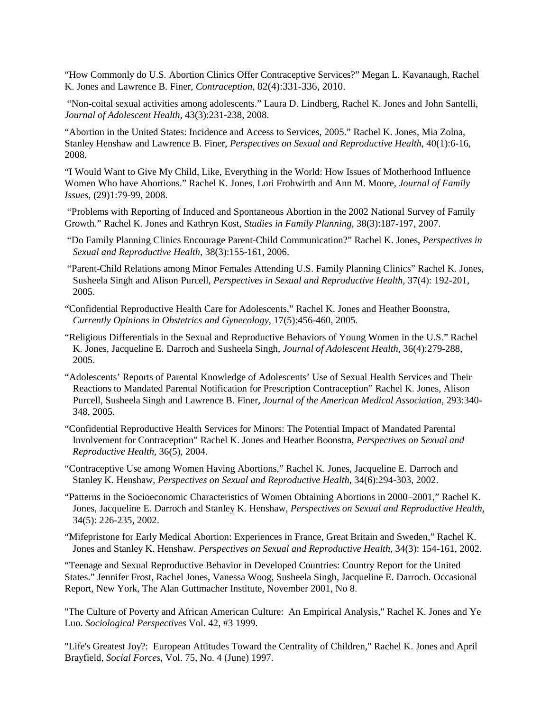"How Commonly do U.S*.* Abortion Clinics Offer Contraceptive Services?" Megan L. Kavanaugh, Rachel K. Jones and Lawrence B. Finer, *Contraception*, 82(4):331-336, 2010.

"Non-coital sexual activities among adolescents." Laura D. Lindberg, Rachel K. Jones and John Santelli, *Journal of Adolescent Health*, 43(3):231-238, 2008.

["Abortion in the United States: Incidence and Access to Services, 2005."](http://www.guttmacher.org/pubs/journals/4000608.pdf) Rachel K. Jones, Mia Zolna, Stanley Henshaw and Lawrence B. Finer, *Perspectives on Sexual and Reproductive Health*, 40(1):6-16, 2008.

"I Would Want to Give My Child, Like, Everything in the World: How Issues of Motherhood Influence Women Who have Abortions." Rachel K. Jones, Lori Frohwirth and Ann M. Moore, *Journal of Family Issues*, (29)1:79-99, 2008.

"Problems with Reporting of Induced and Spontaneous Abortion in the 2002 National Survey of Family Growth." Rachel K. Jones and Kathryn Kost, *Studies in Family Planning*, 38(3):187-197, 2007.

- "Do Family Planning Clinics Encourage Parent-Child Communication?" Rachel K. Jones, *Perspectives in Sexual and Reproductive Health*, 38(3):155-161, 2006.
- "Parent-Child Relations among Minor Females Attending U.S. Family Planning Clinics" Rachel K. Jones, Susheela Singh and Alison Purcell, *Perspectives in Sexual and Reproductive Health*, 37(4): 192-201, 2005.
- "Confidential Reproductive Health Care for Adolescents," Rachel K. Jones and Heather Boonstra, *Currently Opinions in Obstetrics and Gynecology*, 17(5):456-460, 2005.
- "Religious Differentials in the Sexual and Reproductive Behaviors of Young Women in the U.S." Rachel K. Jones, Jacqueline E. Darroch and Susheela Singh, *Journal of Adolescent Health*, 36(4):279-288, 2005.
- "Adolescents' Reports of Parental Knowledge of Adolescents' Use of Sexual Health Services and Their Reactions to Mandated Parental Notification for Prescription Contraception" Rachel K. Jones, Alison Purcell, Susheela Singh and Lawrence B. Finer, *Journal of the American Medical Association*, 293:340- 348, 2005.
- "Confidential Reproductive Health Services for Minors: The Potential Impact of Mandated Parental Involvement for Contraception" Rachel K. Jones and Heather Boonstra, *Perspectives on Sexual and Reproductive Health,* 36(5), 2004.

"Contraceptive Use among Women Having Abortions," Rachel K. Jones, Jacqueline E. Darroch and Stanley K. Henshaw, *Perspectives on Sexual and Reproductive Health*, 34(6):294-303, 2002.

"Patterns in the Socioeconomic Characteristics of Women Obtaining Abortions in 2000–2001," Rachel K. Jones, Jacqueline E. Darroch and Stanley K. Henshaw, *Perspectives on Sexual and Reproductive Health*, 34(5): 226-235, 2002.

"Mifepristone for Early Medical Abortion: Experiences in France, Great Britain and Sweden," Rachel K. Jones and Stanley K. Henshaw. *Perspectives on Sexual and Reproductive Health*, 34(3): 154-161, 2002.

"Teenage and Sexual Reproductive Behavior in Developed Countries: Country Report for the United States." Jennifer Frost, Rachel Jones, Vanessa Woog, Susheela Singh, Jacqueline E. Darroch. Occasional Report, New York, The Alan Guttmacher Institute, November 2001, No 8.

"The Culture of Poverty and African American Culture: An Empirical Analysis," Rachel K. Jones and Ye Luo. *Sociological Perspectives* Vol. 42, #3 1999.

"Life's Greatest Joy?: European Attitudes Toward the Centrality of Children," Rachel K. Jones and April Brayfield, *Social Forces*, Vol. 75, No. 4 (June) 1997.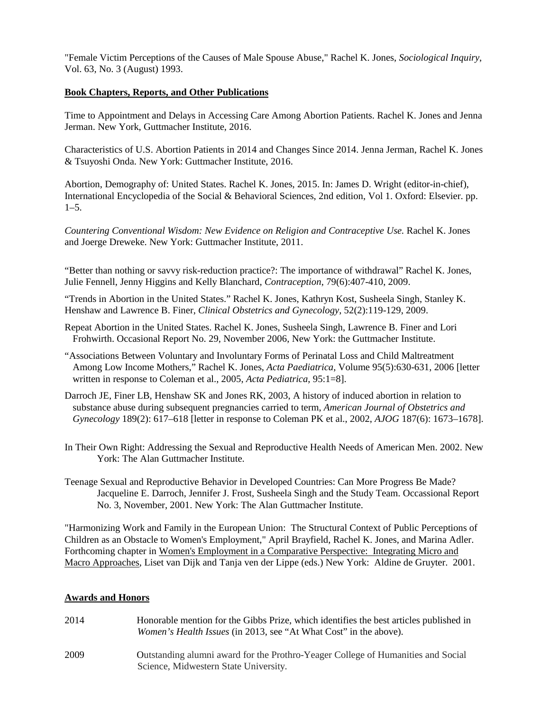"Female Victim Perceptions of the Causes of Male Spouse Abuse," Rachel K. Jones, *Sociological Inquiry*, Vol. 63, No. 3 (August) 1993.

## **Book Chapters, Reports, and Other Publications**

Time to Appointment and Delays in Accessing Care Among Abortion Patients. Rachel K. Jones and Jenna Jerman. New York, Guttmacher Institute, 2016.

Characteristics of U.S. Abortion Patients in 2014 and Changes Since 2014. Jenna Jerman, Rachel K. Jones & Tsuyoshi Onda. New York: Guttmacher Institute, 2016.

Abortion, Demography of: United States. Rachel K. Jones, 2015. In: James D. Wright (editor-in-chief), International Encyclopedia of the Social & Behavioral Sciences, 2nd edition, Vol 1. Oxford: Elsevier. pp. 1–5.

*Countering Conventional Wisdom: New Evidence on Religion and Contraceptive Use.* Rachel K. Jones and Joerge Dreweke. New York: Guttmacher Institute, 2011.

"Better than nothing or savvy risk-reduction practice?: The importance of withdrawal" Rachel K. Jones, Julie Fennell, Jenny Higgins and Kelly Blanchard, *Contraception*, 79(6):407-410, 2009.

"Trends in Abortion in the United States." Rachel K. Jones, Kathryn Kost, Susheela Singh, Stanley K. Henshaw and Lawrence B. Finer, *Clinical Obstetrics and Gynecology*, 52(2):119-129, 2009.

- Repeat Abortion in the United States. Rachel K. Jones, Susheela Singh, Lawrence B. Finer and Lori Frohwirth. Occasional Report No. 29, November 2006, New York: the Guttmacher Institute.
- "Associations Between Voluntary and Involuntary Forms of Perinatal Loss and Child Maltreatment Among Low Income Mothers," Rachel K. Jones, *[Acta Paediatrica](http://www.informaworld.com/smpp/title%7Econtent=t713618451%7Edb=all)*, Volume [95\(](http://www.informaworld.com/smpp/title%7Econtent=t713618451%7Edb=all%7Etab=issueslist%7Ebranches=95#v95)5):630-631, 2006 [letter written in response to Coleman et al., 2005, *Acta Pediatrica*, 95:1=8].
- Darroch JE, Finer LB, Henshaw SK and Jones RK, 2003, A history of induced abortion in relation to substance abuse during subsequent pregnancies carried to term, *American Journal of Obstetrics and Gynecology* 189(2): 617–618 [letter in response to Coleman PK et al., 2002, *AJOG* 187(6): 1673–1678].
- In Their Own Right: Addressing the Sexual and Reproductive Health Needs of American Men. 2002. New York: The Alan Guttmacher Institute.
- Teenage Sexual and Reproductive Behavior in Developed Countries: Can More Progress Be Made? Jacqueline E. Darroch, Jennifer J. Frost, Susheela Singh and the Study Team. Occassional Report No. 3, November, 2001. New York: The Alan Guttmacher Institute.

"Harmonizing Work and Family in the European Union: The Structural Context of Public Perceptions of Children as an Obstacle to Women's Employment," April Brayfield, Rachel K. Jones, and Marina Adler. Forthcoming chapter in Women's Employment in a Comparative Perspective: Integrating Micro and Macro Approaches, Liset van Dijk and Tanja ven der Lippe (eds.) New York: Aldine de Gruyter. 2001.

# **Awards and Honors**

2014 Honorable mention for the Gibbs Prize, which identifies the best articles published in *Women's Health Issues* (in 2013, see "At What Cost" in the above). 2009 Outstanding alumni award for the Prothro-Yeager College of Humanities and Social Science, Midwestern State University.